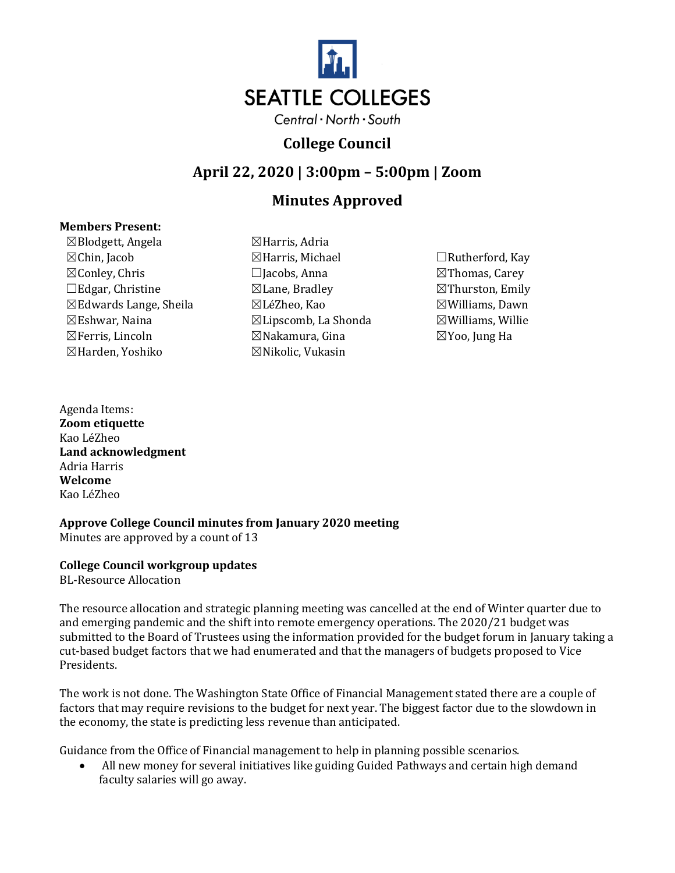

# **College Council**

**April 22, 2020 | 3:00pm – 5:00pm | Zoom**

# **Minutes Approved**

#### **Members Present:**

 $\boxtimes$ Blodgett, Angela  $\boxtimes$ Harris, Adria ☒Chin, Jacob ☒Harris, Michael ☐Rutherford, Kay ☒Conley, Chris ☐Jacobs, Anna ☒Thomas, Carey ☐Edgar, Christine ☒Lane, Bradley ☒Thurston, Emily ☒Edwards Lange, Sheila ☒LéZheo, Kao ☒Williams, Dawn  $\boxtimes$ Eshwar, Naina  $\boxtimes$ Lipscomb, La Shonda  $\boxtimes$ Williams, Willie ☒Ferris, Lincoln ☒Nakamura, Gina ☒Yoo, Jung Ha ☒Harden, Yoshiko ☒Nikolic, Vukasin

- 
- 

Agenda Items: **Zoom etiquette** Kao LéZheo **Land acknowledgment** Adria Harris **Welcome** Kao LéZheo

**Approve College Council minutes from January 2020 meeting** Minutes are approved by a count of 13

## **College Council workgroup updates**

BL-Resource Allocation

The resource allocation and strategic planning meeting was cancelled at the end of Winter quarter due to and emerging pandemic and the shift into remote emergency operations. The 2020/21 budget was submitted to the Board of Trustees using the information provided for the budget forum in January taking a cut-based budget factors that we had enumerated and that the managers of budgets proposed to Vice Presidents.

The work is not done. The Washington State Office of Financial Management stated there are a couple of factors that may require revisions to the budget for next year. The biggest factor due to the slowdown in the economy, the state is predicting less revenue than anticipated.

Guidance from the Office of Financial management to help in planning possible scenarios.

• All new money for several initiatives like guiding Guided Pathways and certain high demand faculty salaries will go away.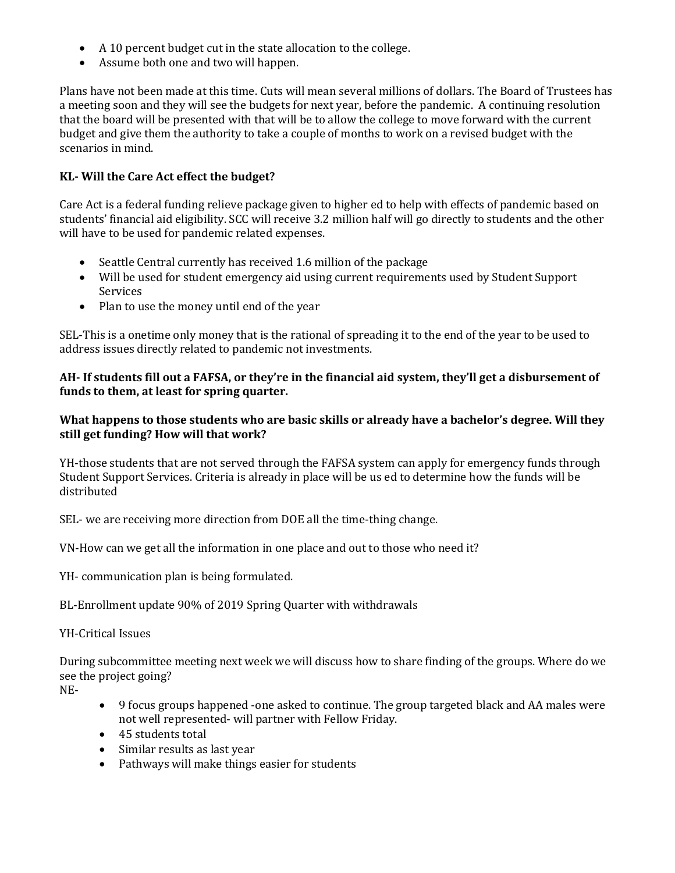- A 10 percent budget cut in the state allocation to the college.
- Assume both one and two will happen.

Plans have not been made at this time. Cuts will mean several millions of dollars. The Board of Trustees has a meeting soon and they will see the budgets for next year, before the pandemic. A continuing resolution that the board will be presented with that will be to allow the college to move forward with the current budget and give them the authority to take a couple of months to work on a revised budget with the scenarios in mind.

# **KL- Will the Care Act effect the budget?**

Care Act is a federal funding relieve package given to higher ed to help with effects of pandemic based on students' financial aid eligibility. SCC will receive 3.2 million half will go directly to students and the other will have to be used for pandemic related expenses.

- Seattle Central currently has received 1.6 million of the package
- Will be used for student emergency aid using current requirements used by Student Support Services
- Plan to use the money until end of the year

SEL-This is a onetime only money that is the rational of spreading it to the end of the year to be used to address issues directly related to pandemic not investments.

## **AH- If students fill out a FAFSA, or they're in the financial aid system, they'll get a disbursement of funds to them, at least for spring quarter.**

## **What happens to those students who are basic skills or already have a bachelor's degree. Will they still get funding? How will that work?**

YH-those students that are not served through the FAFSA system can apply for emergency funds through Student Support Services. Criteria is already in place will be us ed to determine how the funds will be distributed

SEL- we are receiving more direction from DOE all the time-thing change.

VN-How can we get all the information in one place and out to those who need it?

YH- communication plan is being formulated.

BL-Enrollment update 90% of 2019 Spring Quarter with withdrawals

## YH-Critical Issues

During subcommittee meeting next week we will discuss how to share finding of the groups. Where do we see the project going?

NE-

- 9 focus groups happened -one asked to continue. The group targeted black and AA males were not well represented- will partner with Fellow Friday.
- 45 students total
- Similar results as last year
- Pathways will make things easier for students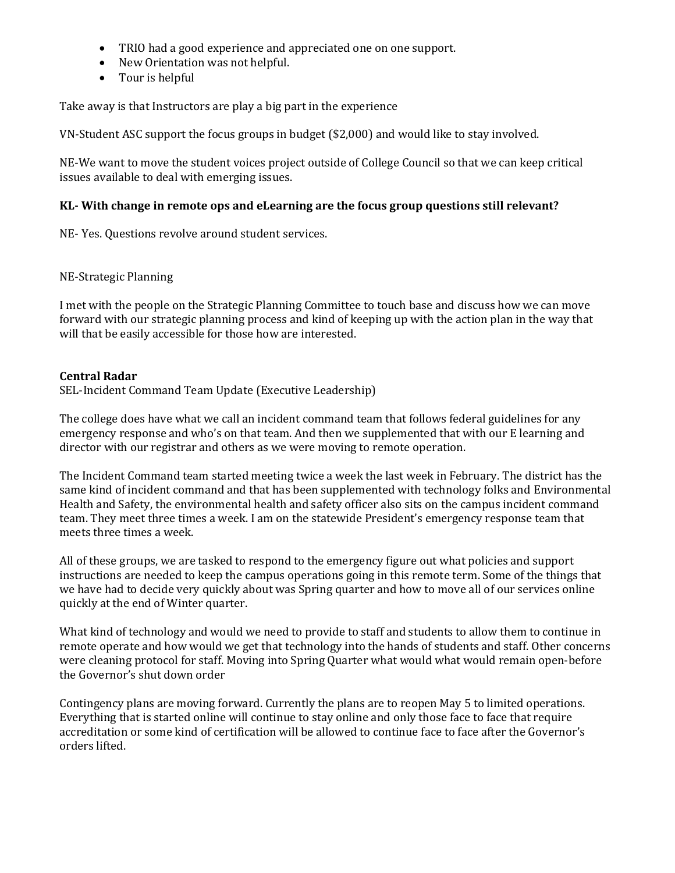- TRIO had a good experience and appreciated one on one support.
- New Orientation was not helpful.
- Tour is helpful

Take away is that Instructors are play a big part in the experience

VN-Student ASC support the focus groups in budget (\$2,000) and would like to stay involved.

NE-We want to move the student voices project outside of College Council so that we can keep critical issues available to deal with emerging issues.

#### **KL- With change in remote ops and eLearning are the focus group questions still relevant?**

NE- Yes. Questions revolve around student services.

#### NE-Strategic Planning

I met with the people on the Strategic Planning Committee to touch base and discuss how we can move forward with our strategic planning process and kind of keeping up with the action plan in the way that will that be easily accessible for those how are interested.

#### **Central Radar**

SEL-Incident Command Team Update (Executive Leadership)

The college does have what we call an incident command team that follows federal guidelines for any emergency response and who's on that team. And then we supplemented that with our E learning and director with our registrar and others as we were moving to remote operation.

The Incident Command team started meeting twice a week the last week in February. The district has the same kind of incident command and that has been supplemented with technology folks and Environmental Health and Safety, the environmental health and safety officer also sits on the campus incident command team. They meet three times a week. I am on the statewide President's emergency response team that meets three times a week.

All of these groups, we are tasked to respond to the emergency figure out what policies and support instructions are needed to keep the campus operations going in this remote term. Some of the things that we have had to decide very quickly about was Spring quarter and how to move all of our services online quickly at the end of Winter quarter.

What kind of technology and would we need to provide to staff and students to allow them to continue in remote operate and how would we get that technology into the hands of students and staff. Other concerns were cleaning protocol for staff. Moving into Spring Quarter what would what would remain open-before the Governor's shut down order

Contingency plans are moving forward. Currently the plans are to reopen May 5 to limited operations. Everything that is started online will continue to stay online and only those face to face that require accreditation or some kind of certification will be allowed to continue face to face after the Governor's orders lifted.